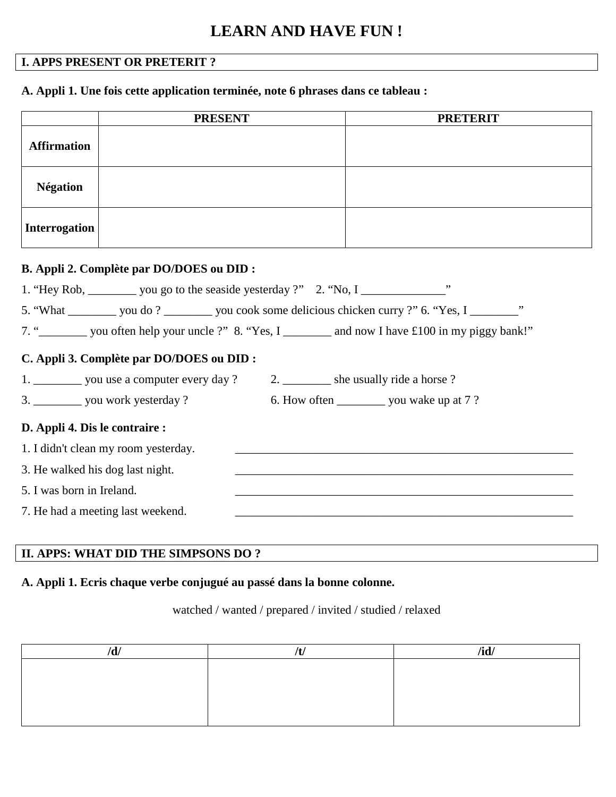# **LEARN AND HAVE FUN !**

# **I. APPS PRESENT OR PRETERIT ?**

## **A. Appli 1. Une fois cette application terminée, note 6 phrases dans ce tableau :**

|                                  | <b>PRESENT</b>                                                                         | <b>PRETERIT</b>                                                                                                  |
|----------------------------------|----------------------------------------------------------------------------------------|------------------------------------------------------------------------------------------------------------------|
| <b>Affirmation</b>               |                                                                                        |                                                                                                                  |
| <b>Négation</b>                  |                                                                                        |                                                                                                                  |
| <b>Interrogation</b>             |                                                                                        |                                                                                                                  |
|                                  | B. Appli 2. Complète par DO/DOES ou DID :                                              |                                                                                                                  |
|                                  | 1. "Hey Rob, __________ you go to the seaside yesterday ?" 2. "No, I _______________"  |                                                                                                                  |
|                                  |                                                                                        | 5. "What ___________ you do? __________ you cook some delicious chicken curry?" 6. "Yes, I _________"            |
|                                  |                                                                                        | 7. " you often help your uncle ?" 8. "Yes, I ________ and now I have £100 in my piggy bank!"                     |
|                                  | C. Appli 3. Complète par DO/DOES ou DID :                                              |                                                                                                                  |
|                                  | 1. ___________ you use a computer every day ? 2. __________ she usually ride a horse ? |                                                                                                                  |
|                                  | 3. ____________ you work yesterday ?                                                   | 6. How often ___________ you wake up at 7 ?                                                                      |
| D. Appli 4. Dis le contraire :   |                                                                                        |                                                                                                                  |
|                                  | 1. I didn't clean my room yesterday.                                                   | and the control of the control of the control of the control of the control of the control of the control of the |
| 3. He walked his dog last night. |                                                                                        | <u> 1989 - Johann Barbara, markazar margolaria (h. 1989).</u>                                                    |
| 5. I was born in Ireland.        |                                                                                        |                                                                                                                  |
|                                  | 7. He had a meeting last weekend.                                                      |                                                                                                                  |

## **II. APPS: WHAT DID THE SIMPSONS DO ?**

#### **A. Appli 1. Ecris chaque verbe conjugué au passé dans la bonne colonne.**

#### watched / wanted / prepared / invited / studied / relaxed